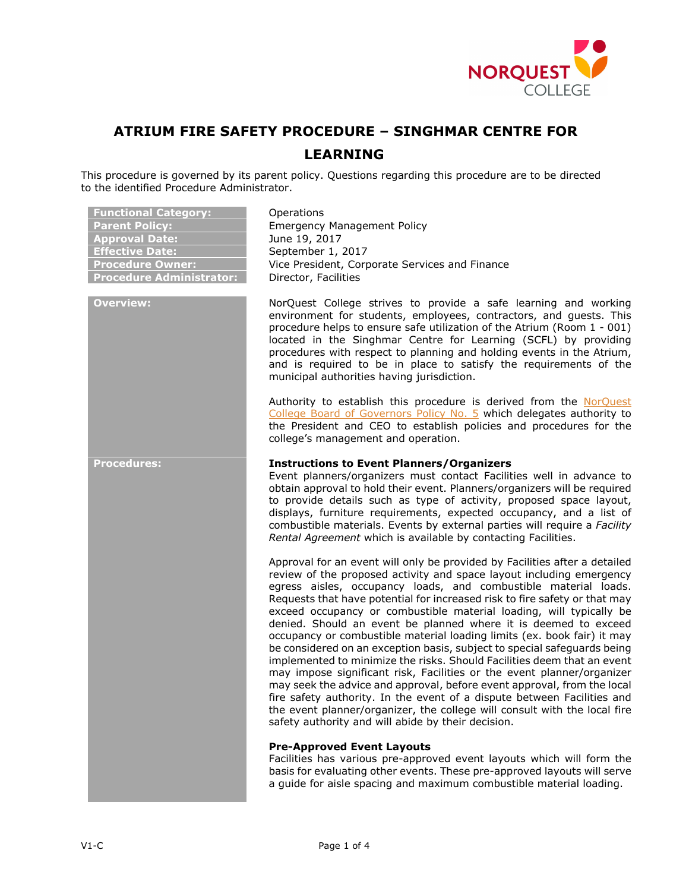

# **ATRIUM FIRE SAFETY PROCEDURE – SINGHMAR CENTRE FOR LEARNING**

This procedure is governed by its parent policy. Questions regarding this procedure are to be directed to the identified Procedure Administrator.

| <b>Functional Category:</b><br><b>Parent Policy:</b><br><b>Approval Date:</b><br><b>Effective Date:</b><br><b>Procedure Owner:</b><br><b>Procedure Administrator:</b> | Operations<br><b>Emergency Management Policy</b><br>June 19, 2017<br>September 1, 2017<br>Vice President, Corporate Services and Finance<br>Director, Facilities                                                                                                                                                                                                                                                                                                                                                                                                                                                                                                                                                                                                                                                                                                                                                                                                                                                                                   |
|-----------------------------------------------------------------------------------------------------------------------------------------------------------------------|----------------------------------------------------------------------------------------------------------------------------------------------------------------------------------------------------------------------------------------------------------------------------------------------------------------------------------------------------------------------------------------------------------------------------------------------------------------------------------------------------------------------------------------------------------------------------------------------------------------------------------------------------------------------------------------------------------------------------------------------------------------------------------------------------------------------------------------------------------------------------------------------------------------------------------------------------------------------------------------------------------------------------------------------------|
| <b>Overview:</b>                                                                                                                                                      | NorQuest College strives to provide a safe learning and working<br>environment for students, employees, contractors, and guests. This<br>procedure helps to ensure safe utilization of the Atrium (Room 1 - 001)<br>located in the Singhmar Centre for Learning (SCFL) by providing<br>procedures with respect to planning and holding events in the Atrium,<br>and is required to be in place to satisfy the requirements of the<br>municipal authorities having jurisdiction.                                                                                                                                                                                                                                                                                                                                                                                                                                                                                                                                                                    |
|                                                                                                                                                                       | Authority to establish this procedure is derived from the NorQuest<br>College Board of Governors Policy No. 5 which delegates authority to<br>the President and CEO to establish policies and procedures for the<br>college's management and operation.                                                                                                                                                                                                                                                                                                                                                                                                                                                                                                                                                                                                                                                                                                                                                                                            |
| <b>Procedures:</b>                                                                                                                                                    | <b>Instructions to Event Planners/Organizers</b><br>Event planners/organizers must contact Facilities well in advance to<br>obtain approval to hold their event. Planners/organizers will be required<br>to provide details such as type of activity, proposed space layout,<br>displays, furniture requirements, expected occupancy, and a list of<br>combustible materials. Events by external parties will require a Facility<br>Rental Agreement which is available by contacting Facilities.                                                                                                                                                                                                                                                                                                                                                                                                                                                                                                                                                  |
|                                                                                                                                                                       | Approval for an event will only be provided by Facilities after a detailed<br>review of the proposed activity and space layout including emergency<br>egress aisles, occupancy loads, and combustible material loads.<br>Requests that have potential for increased risk to fire safety or that may<br>exceed occupancy or combustible material loading, will typically be<br>denied. Should an event be planned where it is deemed to exceed<br>occupancy or combustible material loading limits (ex. book fair) it may<br>be considered on an exception basis, subject to special safeguards being<br>implemented to minimize the risks. Should Facilities deem that an event<br>may impose significant risk, Facilities or the event planner/organizer<br>may seek the advice and approval, before event approval, from the local<br>fire safety authority. In the event of a dispute between Facilities and<br>the event planner/organizer, the college will consult with the local fire<br>safety authority and will abide by their decision. |
|                                                                                                                                                                       | <b>Pre-Approved Event Layouts</b><br>Facilities has various pre-approved event layouts which will form the<br>basis for evaluating other events. These pre-approved layouts will serve<br>a guide for aisle spacing and maximum combustible material loading.                                                                                                                                                                                                                                                                                                                                                                                                                                                                                                                                                                                                                                                                                                                                                                                      |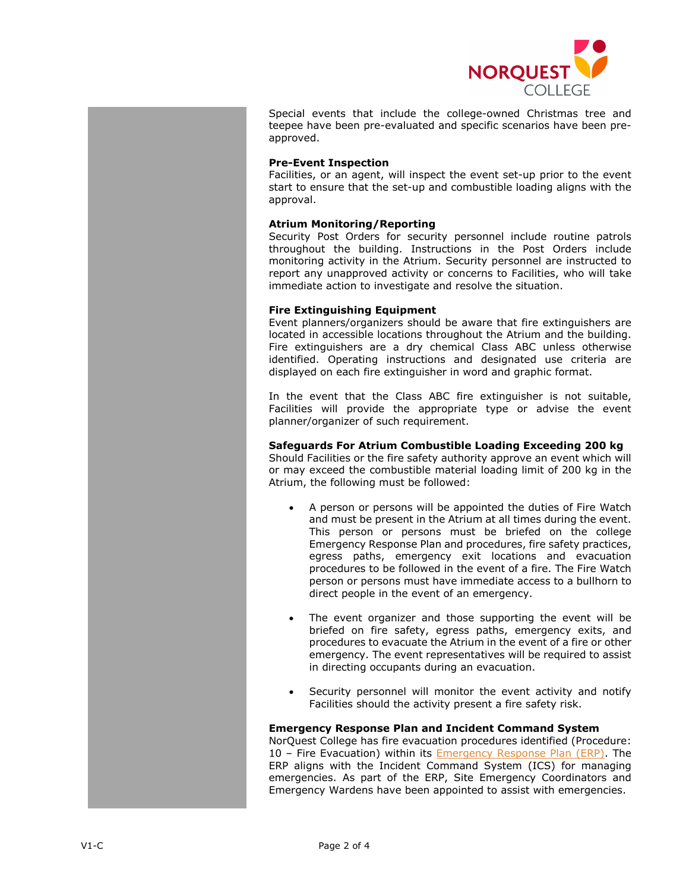

Special events that include the college-owned Christmas tree and teepee have been pre-evaluated and specific scenarios have been preapproved.

## **Pre-Event Inspection**

Facilities, or an agent, will inspect the event set-up prior to the event start to ensure that the set-up and combustible loading aligns with the approval.

# **Atrium Monitoring/Reporting**

Security Post Orders for security personnel include routine patrols throughout the building. Instructions in the Post Orders include monitoring activity in the Atrium. Security personnel are instructed to report any unapproved activity or concerns to Facilities, who will take immediate action to investigate and resolve the situation.

# **Fire Extinguishing Equipment**

Event planners/organizers should be aware that fire extinguishers are located in accessible locations throughout the Atrium and the building. Fire extinguishers are a dry chemical Class ABC unless otherwise identified. Operating instructions and designated use criteria are displayed on each fire extinguisher in word and graphic format.

In the event that the Class ABC fire extinguisher is not suitable, Facilities will provide the appropriate type or advise the event planner/organizer of such requirement.

# **Safeguards For Atrium Combustible Loading Exceeding 200 kg**

Should Facilities or the fire safety authority approve an event which will or may exceed the combustible material loading limit of 200 kg in the Atrium, the following must be followed:

- A person or persons will be appointed the duties of Fire Watch and must be present in the Atrium at all times during the event. This person or persons must be briefed on the college Emergency Response Plan and procedures, fire safety practices, egress paths, emergency exit locations and evacuation procedures to be followed in the event of a fire. The Fire Watch person or persons must have immediate access to a bullhorn to direct people in the event of an emergency.
- The event organizer and those supporting the event will be briefed on fire safety, egress paths, emergency exits, and procedures to evacuate the Atrium in the event of a fire or other emergency. The event representatives will be required to assist in directing occupants during an evacuation.
- Security personnel will monitor the event activity and notify Facilities should the activity present a fire safety risk.

#### **Emergency Response Plan and Incident Command System**

NorQuest College has fire evacuation procedures identified (Procedure: 10 - Fire Evacuation) within its **Emergency Response Plan (ERP)**. The ERP aligns with the Incident Command System (ICS) for managing emergencies. As part of the ERP, Site Emergency Coordinators and Emergency Wardens have been appointed to assist with emergencies.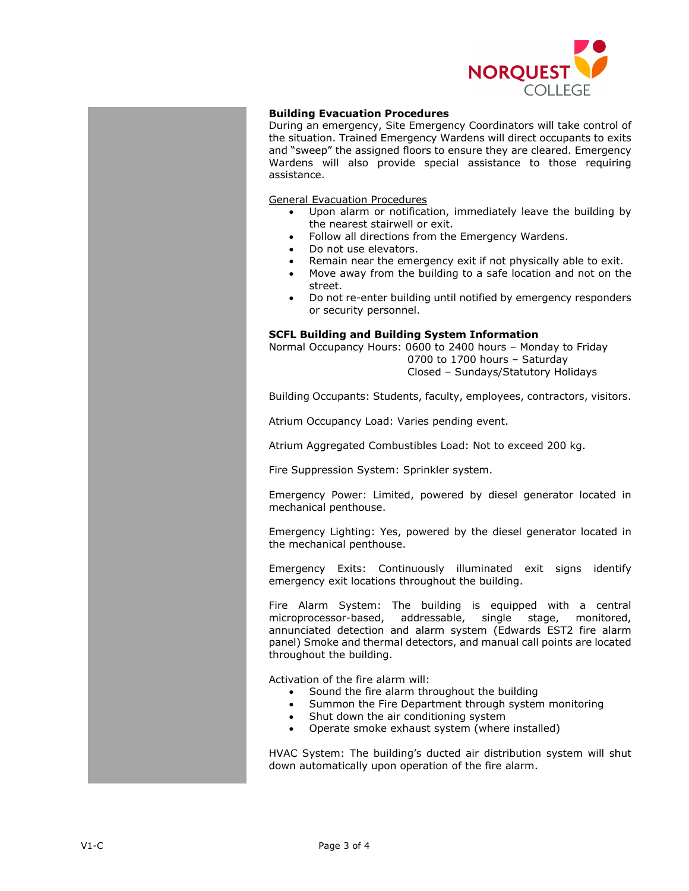

# **Building Evacuation Procedures**

During an emergency, Site Emergency Coordinators will take control of the situation. Trained Emergency Wardens will direct occupants to exits and "sweep" the assigned floors to ensure they are cleared. Emergency Wardens will also provide special assistance to those requiring assistance.

General Evacuation Procedures

- Upon alarm or notification, immediately leave the building by the nearest stairwell or exit.
- Follow all directions from the Emergency Wardens.
- Do not use elevators.
- Remain near the emergency exit if not physically able to exit.
- Move away from the building to a safe location and not on the street.
- Do not re-enter building until notified by emergency responders or security personnel.

#### **SCFL Building and Building System Information**

Normal Occupancy Hours: 0600 to 2400 hours – Monday to Friday 0700 to 1700 hours – Saturday

Closed – Sundays/Statutory Holidays

Building Occupants: Students, faculty, employees, contractors, visitors.

Atrium Occupancy Load: Varies pending event.

Atrium Aggregated Combustibles Load: Not to exceed 200 kg.

Fire Suppression System: Sprinkler system.

Emergency Power: Limited, powered by diesel generator located in mechanical penthouse.

Emergency Lighting: Yes, powered by the diesel generator located in the mechanical penthouse.

Emergency Exits: Continuously illuminated exit signs identify emergency exit locations throughout the building.

Fire Alarm System: The building is equipped with a central microprocessor-based, addressable, single stage, monitored, annunciated detection and alarm system (Edwards EST2 fire alarm panel) Smoke and thermal detectors, and manual call points are located throughout the building.

Activation of the fire alarm will:

- Sound the fire alarm throughout the building
- Summon the Fire Department through system monitoring
- Shut down the air conditioning system
- Operate smoke exhaust system (where installed)

HVAC System: The building's ducted air distribution system will shut down automatically upon operation of the fire alarm.